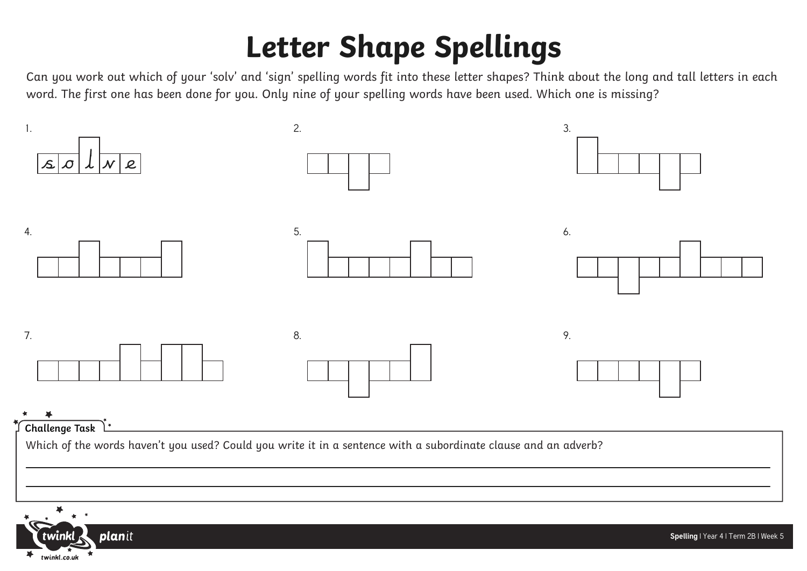## **Letter Shape Spellings**

Can you work out which of your 'solv' and 'sign' spelling words fit into these letter shapes? Think about the long and tall letters in each word. The first one has been done for you. Only nine of your spelling words have been used. Which one is missing?